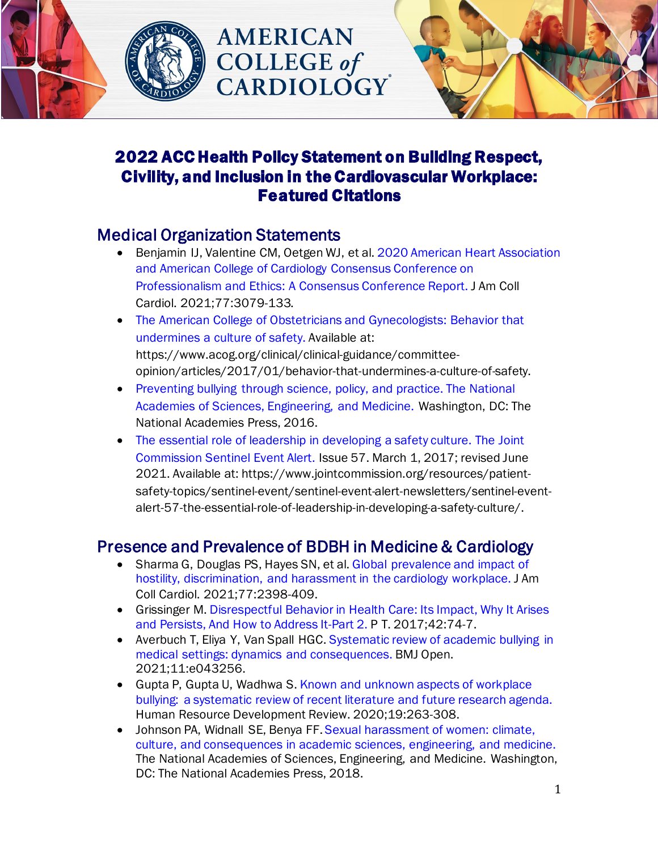



# 2022 ACC Health Policy Statement on Building Respect, Civility, and Inclusion in the Cardiovascular Workplace: Featured Citations

**AMERICAN** 

**COLLEGE** of

## Medical Organization Statements

- Benjamin IJ, Valentine CM, Oetgen WJ, et al. [2020 American Heart Association](https://pubmed.ncbi.nlm.nih.gov/33994057/)  [and American College of Cardiology Consensus Conference on](https://pubmed.ncbi.nlm.nih.gov/33994057/)  [Professionalism and Ethics: A Consensus Conference Report.](https://pubmed.ncbi.nlm.nih.gov/33994057/) J Am Coll Cardiol. 2021;77:3079-133.
- [The American College of Obstetricians and Gynecologists: Behavior that](https://www.acog.org/clinical/clinical-guidance/committee-opinion/articles/2017/01/behavior-that-undermines-a-culture-of-safety.)  [undermines a culture of safety.](https://www.acog.org/clinical/clinical-guidance/committee-opinion/articles/2017/01/behavior-that-undermines-a-culture-of-safety.) Available at: [https://www.acog.org/clinical/clinical-guidance/committee](https://www.acog.org/clinical/clinical-guidance/committee-opinion/articles/2017/01/behavior-that-undermines-a-culture-of-safety)[opinion/articles/2017/01/behavior-that-undermines-a-culture-of-safety](https://www.acog.org/clinical/clinical-guidance/committee-opinion/articles/2017/01/behavior-that-undermines-a-culture-of-safety).
- [Preventing bullying through science, policy, and practice. The National](https://nam.edu/from-the-academies/)  [Academies of Sciences, Engineering, and Medicine.](https://nam.edu/from-the-academies/) Washington, DC: The National Academies Press, 2016.
- The essential role of leadership in developing a safety culture. The Joint [Commission Sentinel Event Alert.](https://www.jointcommission.org/resources/patient-safety-topics/sentinel-event/sentinel-event-alert-newsletters/sentinel-event-alert-57-the-essential-role-of-leadership-in-developing-a-safety-culture/) Issue 57. March 1, 2017; revised June 2021. Available at[: https://www.jointcommission.org/resources/patient](https://www.jointcommission.org/resources/patient-safety-topics/sentinel-event/sentinel-event-alert-newsletters/sentinel-event-alert-57-the-essential-role-of-leadership-in-developing-a-safety-culture/)[safety-topics/sentinel-event/sentinel-event-alert-newsletters/sentinel-event](https://www.jointcommission.org/resources/patient-safety-topics/sentinel-event/sentinel-event-alert-newsletters/sentinel-event-alert-57-the-essential-role-of-leadership-in-developing-a-safety-culture/)[alert-57-the-essential-role-of-leadership-in-developing-a-safety-culture/](https://www.jointcommission.org/resources/patient-safety-topics/sentinel-event/sentinel-event-alert-newsletters/sentinel-event-alert-57-the-essential-role-of-leadership-in-developing-a-safety-culture/).

## Presence and Prevalence of BDBH in Medicine & Cardiology

- Sharma G, Douglas PS, Hayes SN, et al. [Global prevalence and impact of](https://www.jacc.org/doi/10.1016/j.jacc.2021.03.301)  [hostility, discrimination, and harassment in the cardiology workplace.](https://www.jacc.org/doi/10.1016/j.jacc.2021.03.301) J Am Coll Cardiol. 2021;77:2398-409.
- Grissinger M. [Disrespectful Behavior in Health Care: Its Impact, Why It Arises](https://www.ncbi.nlm.nih.gov/pmc/articles/PMC5265230/)  [and Persists, And How to Address It-Part 2.](https://www.ncbi.nlm.nih.gov/pmc/articles/PMC5265230/) P T. 2017;42:74-7.
- Averbuch T, Eliya Y, Van Spall HGC. Systematic review of academic bullying in [medical settings: dynamics and consequences.](https://bmjopen.bmj.com/content/11/7/e043256) BMJ Open. 2021;11:e043256.
- [Gupta P, Gupta U, Wadhwa S. Known and unknown aspects of workplace](https://journals.sagepub.com/doi/10.1177/1534484320936812)  [bullying: a systematic review of recent literature and future research agenda.](https://journals.sagepub.com/doi/10.1177/1534484320936812) Human Resource Development Review. 2020;19:263-308.
- Johnson PA, Widnall SE, Benya FF. [Sexual harassment of women: climate,](https://www.nap.edu/read/24994/chapter/1)  [culture, and consequences in academic sciences, engineering, and medicine.](https://www.nap.edu/read/24994/chapter/1) The National Academies of Sciences, Engineering, and Medicine. Washington, DC: The National Academies Press, 2018.